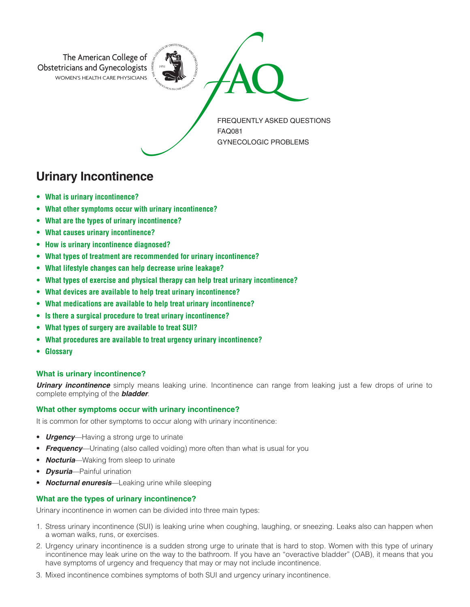

# **Urinary Incontinence**

- **• What is urinary incontinence?**
- **• What other symptoms occur with urinary incontinence?**
- **• What are the types of urinary incontinence?**
- **• What causes urinary incontinence?**
- **• How is urinary incontinence diagnosed?**
- **• What types of treatment are recommended for urinary incontinence?**
- **• What lifestyle changes can help decrease urine leakage?**
- **• What types of exercise and physical therapy can help treat urinary incontinence?**
- **• What devices are available to help treat urinary incontinence?**
- **• What medications are available to help treat urinary incontinence?**
- **• Is there a surgical procedure to treat urinary incontinence?**
- **• What types of surgery are available to treat SUI?**
- **• What procedures are available to treat urgency urinary incontinence?**
- **• Glossary**

### **What is urinary incontinence?**

*Urinary incontinence* simply means leaking urine. Incontinence can range from leaking just a few drops of urine to complete emptying of the *bladder*.

### **What other symptoms occur with urinary incontinence?**

It is common for other symptoms to occur along with urinary incontinence:

- **Urgency**—Having a strong urge to urinate
- **Frequency**—Urinating (also called voiding) more often than what is usual for you
- *Nocturia*—Waking from sleep to urinate
- *Dysuria*—Painful urination
- *Nocturnal enuresis*—Leaking urine while sleeping

### **What are the types of urinary incontinence?**

Urinary incontinence in women can be divided into three main types:

- 1. Stress urinary incontinence (SUI) is leaking urine when coughing, laughing, or sneezing. Leaks also can happen when a woman walks, runs, or exercises.
- 2. Urgency urinary incontinence is a sudden strong urge to urinate that is hard to stop. Women with this type of urinary incontinence may leak urine on the way to the bathroom. If you have an "overactive bladder" (OAB), it means that you have symptoms of urgency and frequency that may or may not include incontinence.
- 3. Mixed incontinence combines symptoms of both SUI and urgency urinary incontinence.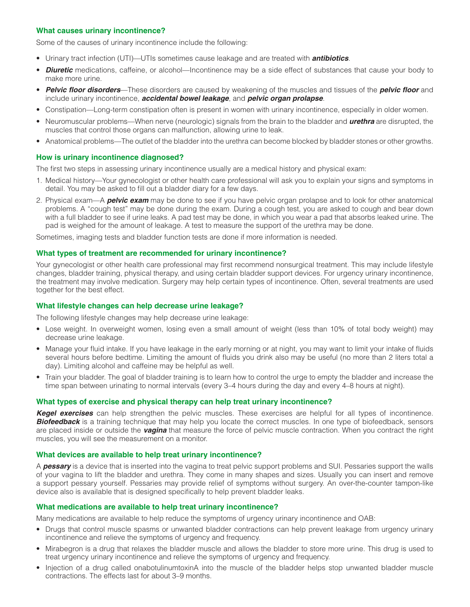### **What causes urinary incontinence?**

Some of the causes of urinary incontinence include the following:

- Urinary tract infection (UTI)—UTIs sometimes cause leakage and are treated with *antibiotics*.
- *Diuretic* medications, caffeine, or alcohol—Incontinence may be a side effect of substances that cause your body to make more urine.
- *Pelvic floor disorders*—These disorders are caused by weakening of the muscles and tissues of the *pelvic floor* and include urinary incontinence, *accidental bowel leakage*, and *pelvic organ prolapse*.
- Constipation—Long-term constipation often is present in women with urinary incontinence, especially in older women.
- Neuromuscular problems—When nerve (neurologic) signals from the brain to the bladder and *urethra* are disrupted, the muscles that control those organs can malfunction, allowing urine to leak.
- Anatomical problems—The outlet of the bladder into the urethra can become blocked by bladder stones or other growths.

# **How is urinary incontinence diagnosed?**

The first two steps in assessing urinary incontinence usually are a medical history and physical exam:

- 1. Medical history—Your gynecologist or other health care professional will ask you to explain your signs and symptoms in detail. You may be asked to fill out a bladder diary for a few days.
- 2. Physical exam—A *pelvic exam* may be done to see if you have pelvic organ prolapse and to look for other anatomical problems. A "cough test" may be done during the exam. During a cough test, you are asked to cough and bear down with a full bladder to see if urine leaks. A pad test may be done, in which you wear a pad that absorbs leaked urine. The pad is weighed for the amount of leakage. A test to measure the support of the urethra may be done.

Sometimes, imaging tests and bladder function tests are done if more information is needed.

### **What types of treatment are recommended for urinary incontinence?**

Your gynecologist or other health care professional may first recommend nonsurgical treatment. This may include lifestyle changes, bladder training, physical therapy, and using certain bladder support devices. For urgency urinary incontinence, the treatment may involve medication. Surgery may help certain types of incontinence. Often, several treatments are used together for the best effect.

### **What lifestyle changes can help decrease urine leakage?**

The following lifestyle changes may help decrease urine leakage:

- Lose weight. In overweight women, losing even a small amount of weight (less than 10% of total body weight) may decrease urine leakage.
- Manage your fluid intake. If you have leakage in the early morning or at night, you may want to limit your intake of fluids several hours before bedtime. Limiting the amount of fluids you drink also may be useful (no more than 2 liters total a day). Limiting alcohol and caffeine may be helpful as well.
- Train your bladder. The goal of bladder training is to learn how to control the urge to empty the bladder and increase the time span between urinating to normal intervals (every 3–4 hours during the day and every 4–8 hours at night).

### **What types of exercise and physical therapy can help treat urinary incontinence?**

*Kegel exercises* can help strengthen the pelvic muscles. These exercises are helpful for all types of incontinence. **Biofeedback** is a training technique that may help you locate the correct muscles. In one type of biofeedback, sensors are placed inside or outside the *vagina* that measure the force of pelvic muscle contraction. When you contract the right muscles, you will see the measurement on a monitor.

### **What devices are available to help treat urinary incontinence?**

A *pessary* is a device that is inserted into the vagina to treat pelvic support problems and SUI. Pessaries support the walls of your vagina to lift the bladder and urethra. They come in many shapes and sizes. Usually you can insert and remove a support pessary yourself. Pessaries may provide relief of symptoms without surgery. An over-the-counter tampon-like device also is available that is designed specifically to help prevent bladder leaks.

### **What medications are available to help treat urinary incontinence?**

Many medications are available to help reduce the symptoms of urgency urinary incontinence and OAB:

- Drugs that control muscle spasms or unwanted bladder contractions can help prevent leakage from urgency urinary incontinence and relieve the symptoms of urgency and frequency.
- Mirabegron is a drug that relaxes the bladder muscle and allows the bladder to store more urine. This drug is used to treat urgency urinary incontinence and relieve the symptoms of urgency and frequency.
- Injection of a drug called onabotulinumtoxinA into the muscle of the bladder helps stop unwanted bladder muscle contractions. The effects last for about 3–9 months.